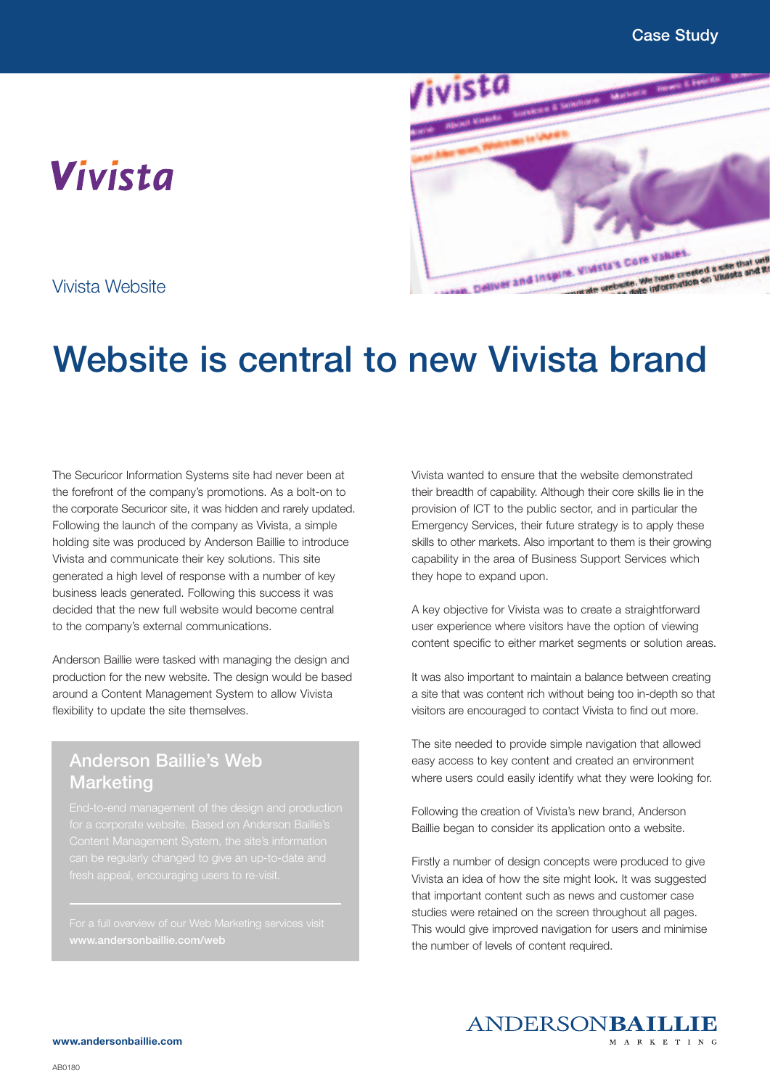



Vivista Website

## Website is central to new Vivista brand

The Securicor Information Systems site had never been at the forefront of the company's promotions. As a bolt-on to the corporate Securicor site, it was hidden and rarely updated. Following the launch of the company as Vivista, a simple holding site was produced by Anderson Baillie to introduce Vivista and communicate their key solutions. This site generated a high level of response with a number of key business leads generated. Following this success it was decided that the new full website would become central to the company's external communications.

Anderson Baillie were tasked with managing the design and production for the new website. The design would be based around a Content Management System to allow Vivista flexibility to update the site themselves.

## Anderson Baillie's Web **Marketing**

for a corporate website. Based on Anderson Baillie's

Vivista wanted to ensure that the website demonstrated their breadth of capability. Although their core skills lie in the provision of ICT to the public sector, and in particular the Emergency Services, their future strategy is to apply these skills to other markets. Also important to them is their growing capability in the area of Business Support Services which they hope to expand upon.

A key objective for Vivista was to create a straightforward user experience where visitors have the option of viewing content specific to either market segments or solution areas.

It was also important to maintain a balance between creating a site that was content rich without being too in-depth so that visitors are encouraged to contact Vivista to find out more.

The site needed to provide simple navigation that allowed easy access to key content and created an environment where users could easily identify what they were looking for.

Following the creation of Vivista's new brand, Anderson Baillie began to consider its application onto a website.

Firstly a number of design concepts were produced to give Vivista an idea of how the site might look. It was suggested that important content such as news and customer case studies were retained on the screen throughout all pages. This would give improved navigation for users and minimise the number of levels of content required.